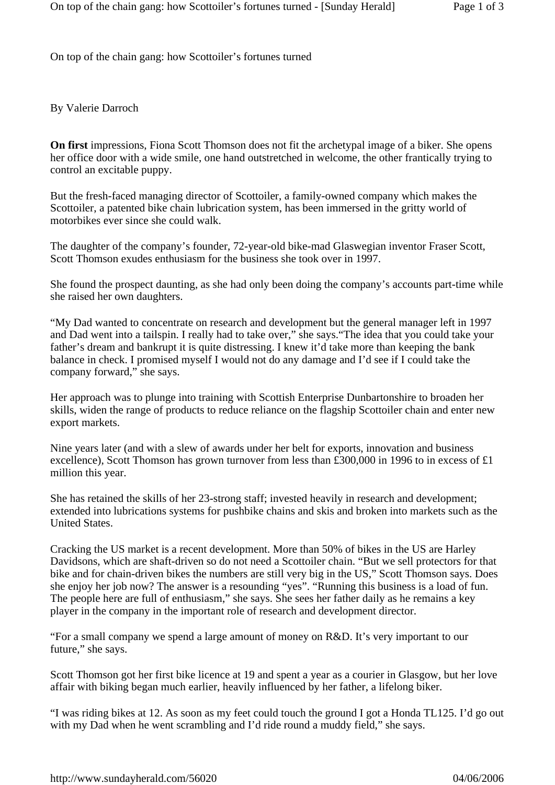On top of the chain gang: how Scottoiler's fortunes turned

By Valerie Darroch

**On first** impressions, Fiona Scott Thomson does not fit the archetypal image of a biker. She opens her office door with a wide smile, one hand outstretched in welcome, the other frantically trying to control an excitable puppy.

But the fresh-faced managing director of Scottoiler, a family-owned company which makes the Scottoiler, a patented bike chain lubrication system, has been immersed in the gritty world of motorbikes ever since she could walk.

The daughter of the company's founder, 72-year-old bike-mad Glaswegian inventor Fraser Scott, Scott Thomson exudes enthusiasm for the business she took over in 1997.

She found the prospect daunting, as she had only been doing the company's accounts part-time while she raised her own daughters.

"My Dad wanted to concentrate on research and development but the general manager left in 1997 and Dad went into a tailspin. I really had to take over," she says."The idea that you could take your father's dream and bankrupt it is quite distressing. I knew it'd take more than keeping the bank balance in check. I promised myself I would not do any damage and I'd see if I could take the company forward," she says.

Her approach was to plunge into training with Scottish Enterprise Dunbartonshire to broaden her skills, widen the range of products to reduce reliance on the flagship Scottoiler chain and enter new export markets.

Nine years later (and with a slew of awards under her belt for exports, innovation and business excellence), Scott Thomson has grown turnover from less than £300,000 in 1996 to in excess of £1 million this year.

She has retained the skills of her 23-strong staff; invested heavily in research and development; extended into lubrications systems for pushbike chains and skis and broken into markets such as the United States.

Cracking the US market is a recent development. More than 50% of bikes in the US are Harley Davidsons, which are shaft-driven so do not need a Scottoiler chain. "But we sell protectors for that bike and for chain-driven bikes the numbers are still very big in the US," Scott Thomson says. Does she enjoy her job now? The answer is a resounding "yes". "Running this business is a load of fun. The people here are full of enthusiasm," she says. She sees her father daily as he remains a key player in the company in the important role of research and development director.

"For a small company we spend a large amount of money on R&D. It's very important to our future," she says.

Scott Thomson got her first bike licence at 19 and spent a year as a courier in Glasgow, but her love affair with biking began much earlier, heavily influenced by her father, a lifelong biker.

"I was riding bikes at 12. As soon as my feet could touch the ground I got a Honda TL125. I'd go out with my Dad when he went scrambling and I'd ride round a muddy field," she says.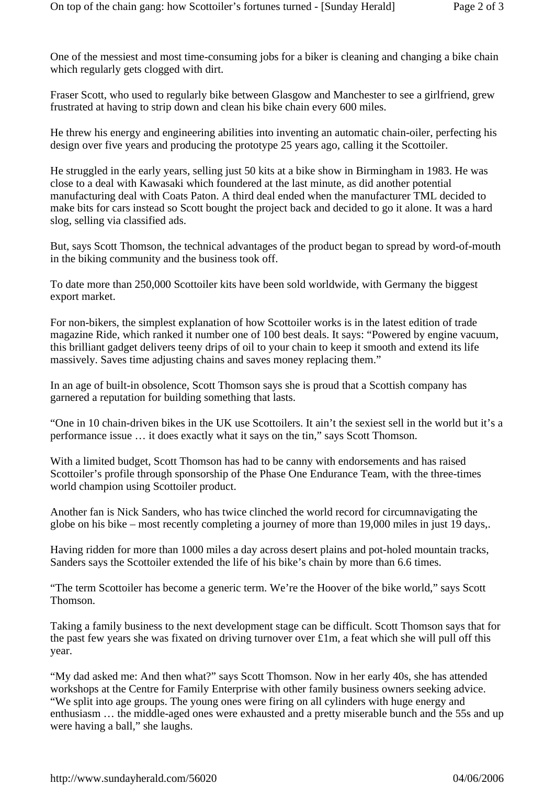One of the messiest and most time-consuming jobs for a biker is cleaning and changing a bike chain which regularly gets clogged with dirt.

Fraser Scott, who used to regularly bike between Glasgow and Manchester to see a girlfriend, grew frustrated at having to strip down and clean his bike chain every 600 miles.

He threw his energy and engineering abilities into inventing an automatic chain-oiler, perfecting his design over five years and producing the prototype 25 years ago, calling it the Scottoiler.

He struggled in the early years, selling just 50 kits at a bike show in Birmingham in 1983. He was close to a deal with Kawasaki which foundered at the last minute, as did another potential manufacturing deal with Coats Paton. A third deal ended when the manufacturer TML decided to make bits for cars instead so Scott bought the project back and decided to go it alone. It was a hard slog, selling via classified ads.

But, says Scott Thomson, the technical advantages of the product began to spread by word-of-mouth in the biking community and the business took off.

To date more than 250,000 Scottoiler kits have been sold worldwide, with Germany the biggest export market.

For non-bikers, the simplest explanation of how Scottoiler works is in the latest edition of trade magazine Ride, which ranked it number one of 100 best deals. It says: "Powered by engine vacuum, this brilliant gadget delivers teeny drips of oil to your chain to keep it smooth and extend its life massively. Saves time adjusting chains and saves money replacing them."

In an age of built-in obsolence, Scott Thomson says she is proud that a Scottish company has garnered a reputation for building something that lasts.

"One in 10 chain-driven bikes in the UK use Scottoilers. It ain't the sexiest sell in the world but it's a performance issue … it does exactly what it says on the tin," says Scott Thomson.

With a limited budget, Scott Thomson has had to be canny with endorsements and has raised Scottoiler's profile through sponsorship of the Phase One Endurance Team, with the three-times world champion using Scottoiler product.

Another fan is Nick Sanders, who has twice clinched the world record for circumnavigating the globe on his bike – most recently completing a journey of more than 19,000 miles in just 19 days,.

Having ridden for more than 1000 miles a day across desert plains and pot-holed mountain tracks, Sanders says the Scottoiler extended the life of his bike's chain by more than 6.6 times.

"The term Scottoiler has become a generic term. We're the Hoover of the bike world," says Scott Thomson.

Taking a family business to the next development stage can be difficult. Scott Thomson says that for the past few years she was fixated on driving turnover over £1m, a feat which she will pull off this year.

"My dad asked me: And then what?" says Scott Thomson. Now in her early 40s, she has attended workshops at the Centre for Family Enterprise with other family business owners seeking advice. "We split into age groups. The young ones were firing on all cylinders with huge energy and enthusiasm … the middle-aged ones were exhausted and a pretty miserable bunch and the 55s and up were having a ball," she laughs.